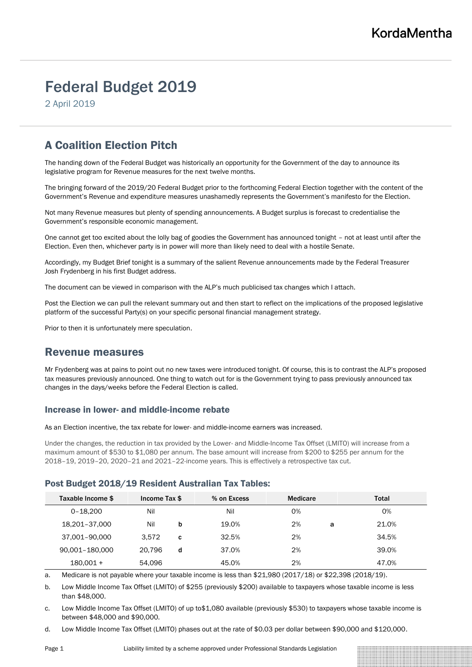# Federal Budget 2019

2 April 2019

# A Coalition Election Pitch

The handing down of the Federal Budget was historically an opportunity for the Government of the day to announce its legislative program for Revenue measures for the next twelve months.

The bringing forward of the 2019/20 Federal Budget prior to the forthcoming Federal Election together with the content of the Government's Revenue and expenditure measures unashamedly represents the Government's manifesto for the Election.

Not many Revenue measures but plenty of spending announcements. A Budget surplus is forecast to credentialise the Government's responsible economic management.

One cannot get too excited about the lolly bag of goodies the Government has announced tonight – not at least until after the Election. Even then, whichever party is in power will more than likely need to deal with a hostile Senate.

Accordingly, my Budget Brief tonight is a summary of the salient Revenue announcements made by the Federal Treasurer Josh Frydenberg in his first Budget address.

The document can be viewed in comparison with the ALP's much publicised tax changes which I attach.

Post the Election we can pull the relevant summary out and then start to reflect on the implications of the proposed legislative platform of the successful Party(s) on your specific personal financial management strategy.

Prior to then it is unfortunately mere speculation.

### Revenue measures

Mr Frydenberg was at pains to point out no new taxes were introduced tonight. Of course, this is to contrast the ALP's proposed tax measures previously announced. One thing to watch out for is the Government trying to pass previously announced tax changes in the days/weeks before the Federal Election is called.

#### Increase in lower- and middle-income rebate

As an Election incentive, the tax rebate for lower- and middle-income earners was increased.

Under the changes, the reduction in tax provided by the Lower- and Middle-Income Tax Offset (LMITO) will increase from a maximum amount of \$530 to \$1,080 per annum. The base amount will increase from \$200 to \$255 per annum for the 2018–19, 2019–20, 2020–21 and 2021–22-income years. This is effectively a retrospective tax cut.

#### Post Budget 2018/19 Resident Australian Tax Tables:

| Taxable Income \$ | Income Tax \$ |   | % on Excess | Medicare | Total      |
|-------------------|---------------|---|-------------|----------|------------|
| $0 - 18.200$      | Nil           |   | Nil         | 0%       | 0%         |
| 18,201-37,000     | Nil           | b | 19.0%       | 2%       | 21.0%<br>a |
| 37,001-90,000     | 3.572         | C | 32.5%       | 2%       | 34.5%      |
| 90,001-180,000    | 20.796        | d | 37.0%       | 2%       | 39.0%      |
| $180.001 +$       | 54.096        |   | 45.0%       | 2%       | 47.0%      |

a. Medicare is not payable where your taxable income is less than \$21,980 (2017/18) or \$22,398 (2018/19).

b. Low Middle Income Tax Offset (LMITO) of \$255 (previously \$200) available to taxpayers whose taxable income is less than \$48,000.

c. Low Middle Income Tax Offset (LMITO) of up to\$1,080 available (previously \$530) to taxpayers whose taxable income is between \$48,000 and \$90,000.

d. Low Middle Income Tax Offset (LMITO) phases out at the rate of \$0.03 per dollar between \$90,000 and \$120,000.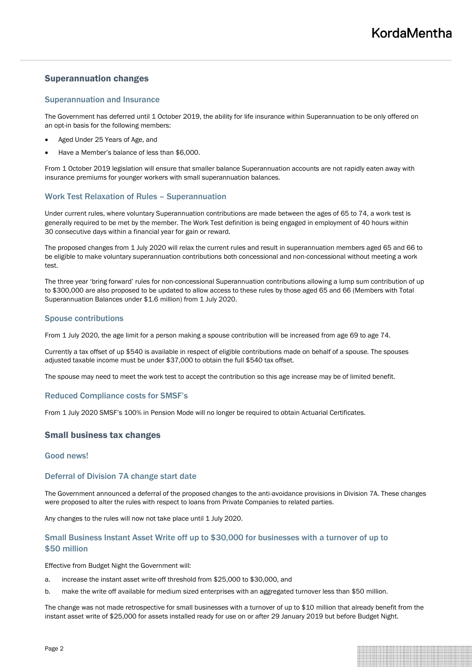#### Superannuation changes

#### Superannuation and Insurance

The Government has deferred until 1 October 2019, the ability for life insurance within Superannuation to be only offered on an opt-in basis for the following members:

- Aged Under 25 Years of Age, and
- Have a Member's balance of less than \$6,000.

From 1 October 2019 legislation will ensure that smaller balance Superannuation accounts are not rapidly eaten away with insurance premiums for younger workers with small superannuation balances.

#### Work Test Relaxation of Rules – Superannuation

Under current rules, where voluntary Superannuation contributions are made between the ages of 65 to 74, a work test is generally required to be met by the member. The Work Test definition is being engaged in employment of 40 hours within 30 consecutive days within a financial year for gain or reward.

The proposed changes from 1 July 2020 will relax the current rules and result in superannuation members aged 65 and 66 to be eligible to make voluntary superannuation contributions both concessional and non-concessional without meeting a work test.

The three year 'bring forward' rules for non-concessional Superannuation contributions allowing a lump sum contribution of up to \$300,000 are also proposed to be updated to allow access to these rules by those aged 65 and 66 (Members with Total Superannuation Balances under \$1.6 million) from 1 July 2020.

#### Spouse contributions

From 1 July 2020, the age limit for a person making a spouse contribution will be increased from age 69 to age 74.

Currently a tax offset of up \$540 is available in respect of eligible contributions made on behalf of a spouse. The spouses adjusted taxable income must be under \$37,000 to obtain the full \$540 tax offset.

The spouse may need to meet the work test to accept the contribution so this age increase may be of limited benefit.

#### Reduced Compliance costs for SMSF's

From 1 July 2020 SMSF's 100% in Pension Mode will no longer be required to obtain Actuarial Certificates.

#### Small business tax changes

#### Good news!

#### Deferral of Division 7A change start date

The Government announced a deferral of the proposed changes to the anti-avoidance provisions in Division 7A. These changes were proposed to alter the rules with respect to loans from Private Companies to related parties.

Any changes to the rules will now not take place until 1 July 2020.

#### Small Business Instant Asset Write off up to \$30,000 for businesses with a turnover of up to \$50 million

Effective from Budget Night the Government will:

- a. increase the instant asset write-off threshold from \$25,000 to \$30,000, and
- b. make the write off available for medium sized enterprises with an aggregated turnover less than \$50 million.

The change was not made retrospective for small businesses with a turnover of up to \$10 million that already benefit from the instant asset write of \$25,000 for assets installed ready for use on or after 29 January 2019 but before Budget Night.